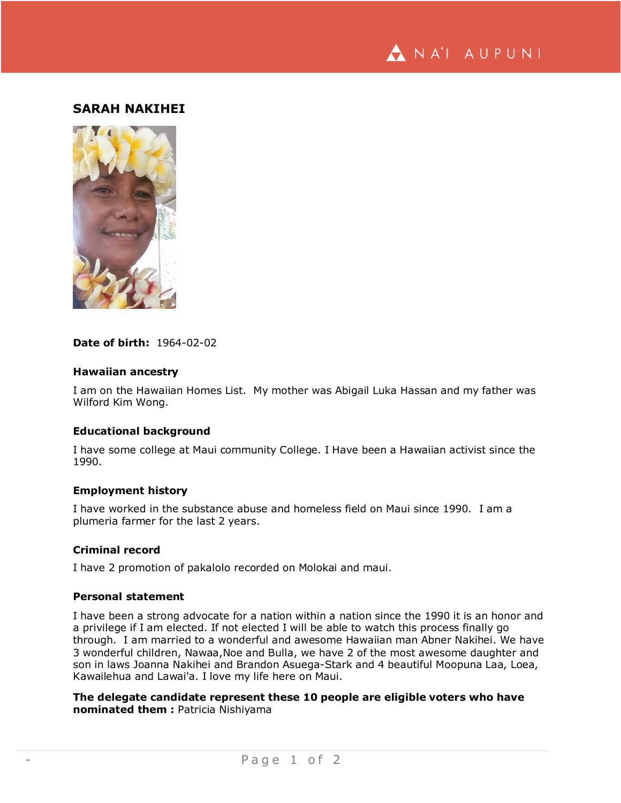

# **SARAH NAKIHEI**



#### **Date of birth:** 1964-02-02

### **Hawaiian ancestry**

I am on the Hawaiian Homes List. My mother was Abigail Luka Hassan and my father was Wilford Kim Wong.

#### **Educational background**

I have some college at Maui community College. I Have been a Hawaiian activist since the 1990.

## **Employment history**

I have worked in the substance abuse and homeless field on Maui since 1990. I am a plumeria farmer for the last 2 years.

#### **Criminal record**

I have 2 promotion of pakalolo recorded on Molokai and maui.

### **Personal statement**

I have been a strong advocate for a nation within a nation since the 1990 it is an honor and a privilege if I am elected. If not elected I will be able to watch this process finally go through. I am married to a wonderful and awesome Hawaiian man Abner Nakihei. We have 3 wonderful children, Nawaa,Noe and Bulla, we have 2 of the most awesome daughter and son in laws Joanna Nakihei and Brandon Asuega-Stark and 4 beautiful Moopuna Laa, Loea, Kawailehua and Lawai'a. I love my life here on Maui.

**The delegate candidate represent these 10 people are eligible voters who have nominated them :** Patricia Nishiyama